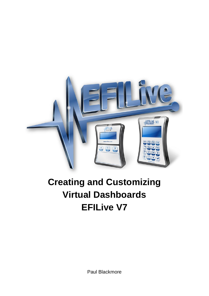

# **Creating and Customizing Virtual Dashboards EFILive V7**

Paul Blackmore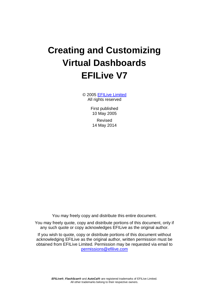# **Creating and Customizing Virtual Dashboards EFILive V7**

© 2005 [EFILive Limited](http://www.efilive.com/) All rights reserved

> First published 10 May 2005

Revised 14 May 2014

You may freely copy and distribute this entire document.

You may freely quote, copy and distribute portions of this document, only if any such quote or copy acknowledges EFILive as the original author.

If you wish to quote, copy or distribute portions of this document without acknowledging EFILive as the original author, written permission must be obtained from EFILive Limited. Permission may be requested via email to [permissions@efilive.com](mailto:permissions@efilive.com)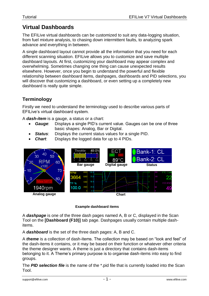# **Virtual Dashboards**

The EFILive virtual dashboards can be customized to suit any data-logging situation, from fuel mixture analysis, to chasing down intermittent faults, to analyzing spark advance and everything in between.

A single dashboard layout cannot provide all the information that you need for each different scanning situation. EFILive allows you to customize and save multiple dashboard layouts. At first, customizing your dashboard may appear complex and overwhelming. Sometimes changing one thing can cause unexpected results elsewhere. However, once you begin to understand the powerful and flexible relationship between dashboard items, dashpages, dashboards and PID selections, you will discover that customizing a dashboard, or even setting up a completely new dashboard is really quite simple.

### **Terminology**

Firstly we need to understand the terminology used to describe various parts of EFILive's virtual dashboard system.

A *dash-item* is a gauge, a status or a chart:

- *Gauge*: Displays a single PID's current value. Gauges can be one of three basic shapes: Analog, Bar or Digital.
- *Status*: Displays the current status values for a single PID.
- *Chart*: Displays the logged data for up to 4 PIDs.



#### **Example dashboard items**

A *dashpage* is one of the three dash pages named A, B or C, displayed in the Scan Tool on the **[Dashboard (F10)]** tab page. Dashpages usually contain multiple dashitems.

A *dashboard* is the set of the three dash pages: A, B and C.

A *theme* is a collection of dash-items. The collection may be based on "look and feel" of the dash-items it contains, or it may be based on their function or whatever other criteria the theme designer wants. A theme is just a directory that contains dash-items belonging to it. A Theme's primary purpose is to organise dash-items into easy to find groups.

The *PID selection file* is the name of the \*.pid file that is currently loaded into the Scan Tool.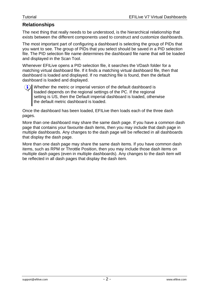#### **Relationships**

The next thing that really needs to be understood, is the hierarchical relationship that exists between the different components used to construct and customize dashboards.

The most important part of configuring a dashboard is selecting the group of PIDs that you want to see. The group of PIDs that you select should be saved in a PID selection file. The PID selection file name determines the dashboard file name that will be loaded and displayed in the Scan Tool.

Whenever EFILive opens a PID selection file, it searches the VDash folder for a matching virtual dashboard file. If it finds a matching virtual dashboard file, then that dashboard is loaded and displayed. If no matching file is found, then the default dashboard is loaded and displayed.



Whether the metric or imperial version of the default dashboard is loaded depends on the regional settings of the PC. If the regional setting is US, then the Default imperial dashboard is loaded, otherwise the default metric dashboard is loaded.

Once the dashboard has been loaded, EFILive then loads each of the three dash pages.

More than one dashboard may share the same dash page. If you have a common dash page that contains your favourite dash items, then you may include that dash page in multiple dashboards. Any changes to the dash page will be reflected in all dashboards that display the dash page.

More than one dash page may share the same dash items. If you have common dash items, such as RPM or Throttle Position, then you may include those dash items on multiple dash pages (even in multiple dashboards). Any changes to the dash item will be reflected in all dash pages that display the dash item.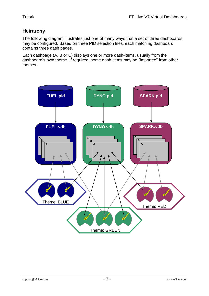### **Heirarchy**

The following diagram illustrates just one of many ways that a set of three dashboards may be configured. Based on three PID selection files, each matching dashboard contains three dash pages.

Each dashpage (A, B or C) displays one or more dash-items, usually from the dashboard's own theme. If required, some dash items may be "imported" from other themes.

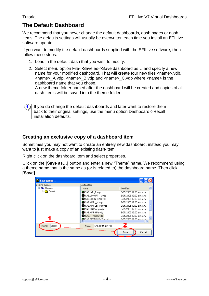## **The Default Dashboard**

We recommend that you never change the default dashboards, dash pages or dash items. The defaults settings will usually be overwritten each time you install an EFILive software update.

If you want to modify the default dashboards supplied with the EFILive software, then follow these steps:

- 1. Load in the default dash that you wish to modify.
- 2. Select menu option File->Save as->Save dashboard as… and specify a new name for your modified dashboard. That will create four new files <name>.vdb, <name>\_A.vdp, <name>\_B.vdp and <name>\_C.vdp where <name> is the dashboard name that you chose.

A new theme folder named after the dashboard will be created and copies of all dash-items will be saved into the theme folder.

If you do change the default dashboards and later want to restore them back to their original settings, use the menu option Dashboard->Recall installation defaults.

#### **Creating an exclusive copy of a dashboard item**

Sometimes you may not want to create an entirely new dashboard, instead you may want to just make a copy of an existing dash-item.

Right click on the dashboard item and select properties.

Click on the **[Save as…]** button and enter a new "Theme" name. We recommend using a theme name that is the same as (or is related to) the dashboard name. Then click **[Save]**.

| Save gauge       |                                     |                           |
|------------------|-------------------------------------|---------------------------|
| Existing themes  | Existing files                      |                           |
| Themes<br>⊟      | Name                                | Modified                  |
| Default          | SAE.IAT_F.vdg                       | 9/05/2005 12:00 a.m. a.m. |
|                  | SAE.LONGFT1 %.vdg                   | 9/05/2005 12:00 a.m. a.m. |
|                  | SAE.LONGFT2 %.vda                   | 9/05/2005 12:00 a.m. a.m. |
|                  | SAE MAF a s.vda                     | 9/05/2005 12:00 a.m. a.m. |
|                  | SAE.MAF Lbs_Min.vdg                 | 9/05/2005 12:00 a.m. a.m. |
|                  | SAE MAP in Ha vda                   | 9/05/2005 12:00 a.m. a.m. |
|                  | SAE MAP kPa.vdg                     | 9/05/2005 12:00 a.m. a.m. |
|                  | SAE RPM rpm vda                     | 9/05/2005 12:00 a.m. a.m. |
|                  | <b>SA</b> CAF CPARKADV Denvdo<br>ШI | 9/05/2005 12:00 a.m. a.m. |
|                  |                                     |                           |
| Blacky<br>Theme: | SAE.RPM rpm.vdg<br>Name:            |                           |
|                  |                                     | Save<br>Cancel            |
|                  |                                     |                           |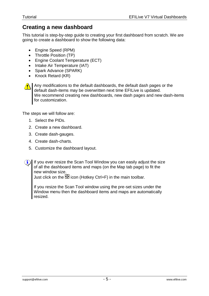### **Creating a new dashboard**

This tutorial is step-by-step guide to creating your first dashboard from scratch. We are going to create a dashboard to show the following data:

- Engine Speed (RPM)
- Throttle Position (TP)
- Engine Coolant Temperature (ECT)
- Intake Air Temperature (IAT)
- Spark Advance (SPARK)
- $\bullet$  Knock Retard (KR)



Any modifications to the default dashboards, the default dash pages or the default dash-items may be overwritten next time EFILive is updated. We recommend creating new dashboards, new dash pages and new dash-items for customization.

The steps we will follow are:

- 1. Select the PIDs.
- 2. Create a new dashboard.
- 3. Create dash-gauges.
- 4. Create dash-charts.
- 5. Customize the dashboard layout.
- $\bf (i)$ If you ever resize the Scan Tool Window you can easily adjust the size of all the dashboard items and maps (on the Map tab page) to fit the new window size.

Just click on the  $\overline{\mathfrak{B}}$  icon (Hotkey Ctrl+F) in the main toolbar.

If you resize the Scan Tool window using the pre-set sizes under the Window menu then the dashboard items and maps are automatically resized.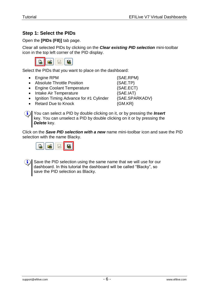#### **Step 1: Select the PIDs**

Open the **[PIDs (F8)]** tab page.

Clear all selected PIDs by clicking on the *Clear existing PID selection* mini-toolbar icon in the top left corner of the PID display.



Select the PIDs that you want to place on the dashboard:

- Engine RPM  ${SAE.RPM}$
- Absolute Throttle Position  ${SAE.TP}$
- Engine Coolant Temperature {SAE.ECT}
- Intake Air Temperature  ${SAE.IAT}$
- Ignition Timing Advance for #1 Cylinder {SAE.SPARKADV}
- Retard Due to Knock  $\{GM.KR\}$

You can select a PID by double clicking on it, or by pressing the *Insert*  $\bf (i)$ key. You can unselect a PID by double clicking on it or by pressing the *Delete* key.

Click on the *Save PID selection with a new* name mini-toolbar icon and save the PID selection with the name Blacky.





Save the PID selection using the same name that we will use for our dashboard. In this tutorial the dashboard will be called "Blacky", so save the PID selection as Blacky.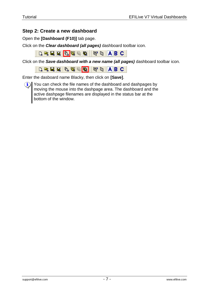#### **Step 2: Create a new dashboard**

Open the **[Dashboard (F10)]** tab page.

Click on the *Clear dashboard (all pages)* dashboard toolbar icon.

DEEE DE 20 HO DE ABC

Click on the *Save dashboard with a new name (all pages)* dashboard toolbar icon.

**D. 2 品点 D. 考え Q. 1 新 D. 1 A B C** 

Enter the dasboard name Blacky, then click on **[Save]**.

 $(i)$  You can check the file names of the dashboard and dashpages by moving the mouse into the dashpage area. The dashboard and the active dashpage filenames are displayed in the status bar at the bottom of the window.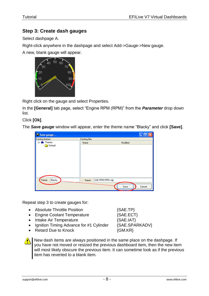#### **Step 3: Create dash gauges**

Select dashpage A.

Right-click anywhere in the dashpage and select Add->Gauge->New gauge.

A new, blank gauge will appear.



Right click on the gauge and select Properties.

In the **[General]** tab page, select "Engine RPM (RPM)" from the *Parameter* drop down list.

Click **[Ok]**.

The *Save gauge* window will appear, enter the theme name "Blacky" and click **[Save]**.

| Save gauge             |                       |                 |          |        |
|------------------------|-----------------------|-----------------|----------|--------|
| Existing themes        | <b>Existing files</b> |                 |          |        |
| <b>Res</b> Themes<br>Ξ | Name                  |                 | Modified |        |
| Default<br>1.1.1.1     |                       |                 |          |        |
|                        |                       |                 |          |        |
|                        |                       |                 |          |        |
|                        |                       |                 |          |        |
|                        |                       |                 |          |        |
|                        |                       |                 |          |        |
|                        |                       |                 |          |        |
|                        |                       |                 |          |        |
|                        |                       |                 |          |        |
| Blacky<br>Theme:       | Name:                 | SAE.RPM RPM.vdg |          |        |
|                        |                       |                 |          |        |
|                        |                       |                 | Save     | Cancel |

Repeat step 3 to create gauges for:

- Absolute Throttle Position  ${SAE.TP}$
- Engine Coolant Temperature {SAE.ECT}
- Intake Air Temperature  ${SAE.IAT}$
- Ignition Timing Advance for #1 Cylinder {SAE.SPARKADV}
- Retard Due to Knock {GM.KR}

New dash items are always positioned in the same place on the dashpage. If you have not moved or resized the previous dashboard item, then the new item will most likely obscure the previous item. It can sometime look as if the previous item has reverted to a blank item.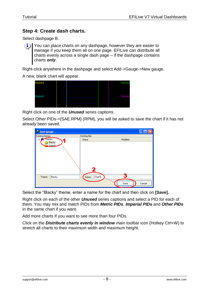#### **Step 4: Create dash charts.**

Select dashpage B.

You can place charts on any dashpage, however they are easier to  $\mathbf{(i)}$ manage if you keep them all on one page. EFILive can distribute all charts evenly across a single dash page – if the dashpage contains charts *only*.

Right-click anywhere in the dashpage and select Add->Gauge->New gauge.

A new, blank chart will appear.



Right click on one of the *Unused* series captions.

Select Other PIDs->{SAE.RPM} (RPM), you will be asked to save the chart if it has not already been saved.

| Save gauge                         |                 |          |        |
|------------------------------------|-----------------|----------|--------|
| <b>Existing themes</b>             | Existing files  |          |        |
| <b>Externes</b>                    | Name            | Modified |        |
| Blacky<br><mark>ेव Default.</mark> | 2               |          |        |
| Blacky<br>Theme:                   | Chart1<br>Name: |          |        |
|                                    |                 | Save     | Cancel |

Select the "Blacky" theme, enter a name for the chart and then click on **[Save].**

Right click on each of the other *Unused* series captions and select a PID for each of them. You may mix and match PIDs from *Metric PIDs*, *Imperial PIDs* and *Other PIDs* in the same chart if you want.

Add more charts If you want to see more than four PIDs.

Click on the *Distribute charts evenly in window* main toolbar icon (Hotkey Ctrl+W) to stretch all charts to their maximum width and maximum height.